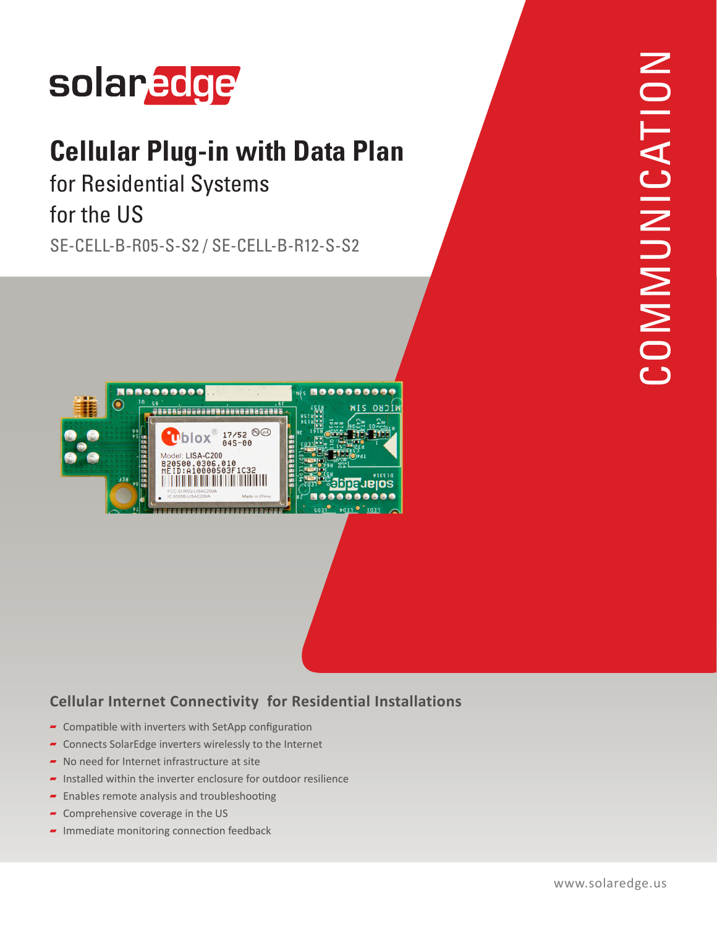

## **Cellular Plug-in with Data Plan**

for Residential Systems for the US

SE-CELL-B-R05-S-S2 / SE-CELL-B-R12-S-S2



## **Cellular Internet Connectivity for Residential Installations**

- $\overline{\phantom{a}}$  Compatible with inverters with SetApp configuration
- $\blacksquare$  Connects SolarEdge inverters wirelessly to the Internet
- No need for Internet infrastructure at site
- $\blacksquare$  Installed within the inverter enclosure for outdoor resilience
- $\blacktriangleright$  Enables remote analysis and troubleshooting
- $\sim$  Comprehensive coverage in the US
- $\blacksquare$  Immediate monitoring connection feedback